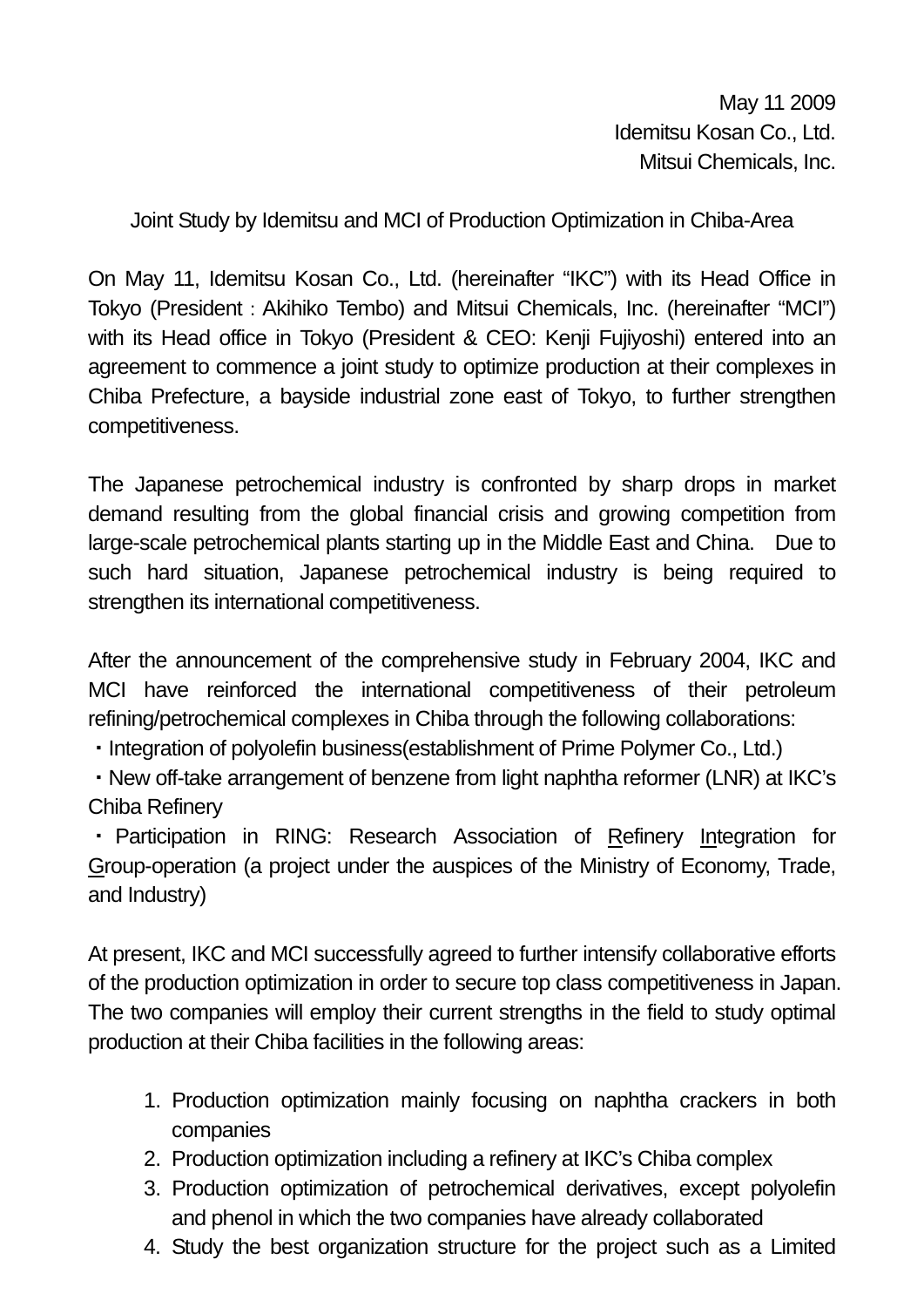Joint Study by Idemitsu and MCI of Production Optimization in Chiba-Area

On May 11, Idemitsu Kosan Co., Ltd. (hereinafter "IKC") with its Head Office in Tokyo (President: Akihiko Tembo) and Mitsui Chemicals, Inc. (hereinafter "MCI") with its Head office in Tokyo (President & CEO: Kenji Fujiyoshi) entered into an agreement to commence a joint study to optimize production at their complexes in Chiba Prefecture, a bayside industrial zone east of Tokyo, to further strengthen competitiveness.

The Japanese petrochemical industry is confronted by sharp drops in market demand resulting from the global financial crisis and growing competition from large-scale petrochemical plants starting up in the Middle East and China. Due to such hard situation, Japanese petrochemical industry is being required to strengthen its international competitiveness.

After the announcement of the comprehensive study in February 2004, IKC and MCI have reinforced the international competitiveness of their petroleum refining/petrochemical complexes in Chiba through the following collaborations:

・Integration of polyolefin business(establishment of Prime Polymer Co., Ltd.)

・New off-take arrangement of benzene from light naphtha reformer (LNR) at IKC's Chiba Refinery

・ Participation in RING: Research Association of Refinery Integration for Group-operation (a project under the auspices of the Ministry of Economy, Trade, and Industry)

At present, IKC and MCI successfully agreed to further intensify collaborative efforts of the production optimization in order to secure top class competitiveness in Japan. The two companies will employ their current strengths in the field to study optimal production at their Chiba facilities in the following areas:

- 1. Production optimization mainly focusing on naphtha crackers in both companies
- 2. Production optimization including a refinery at IKC's Chiba complex
- 3. Production optimization of petrochemical derivatives, except polyolefin and phenol in which the two companies have already collaborated
- 4. Study the best organization structure for the project such as a Limited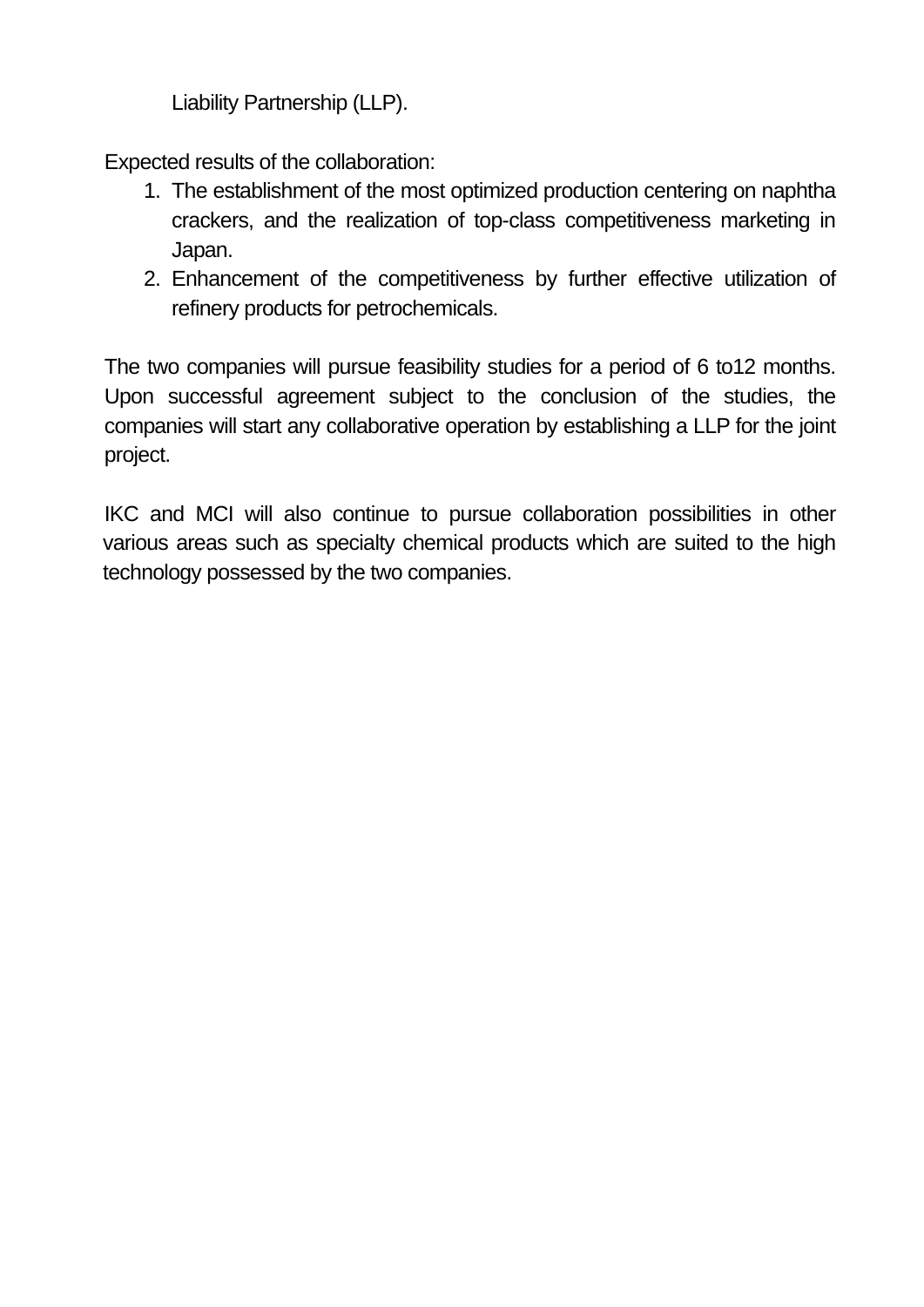Liability Partnership (LLP).

Expected results of the collaboration:

- 1. The establishment of the most optimized production centering on naphtha crackers, and the realization of top-class competitiveness marketing in Japan.
- 2. Enhancement of the competitiveness by further effective utilization of refinery products for petrochemicals.

The two companies will pursue feasibility studies for a period of 6 to12 months. Upon successful agreement subject to the conclusion of the studies, the companies will start any collaborative operation by establishing a LLP for the joint project.

IKC and MCI will also continue to pursue collaboration possibilities in other various areas such as specialty chemical products which are suited to the high technology possessed by the two companies.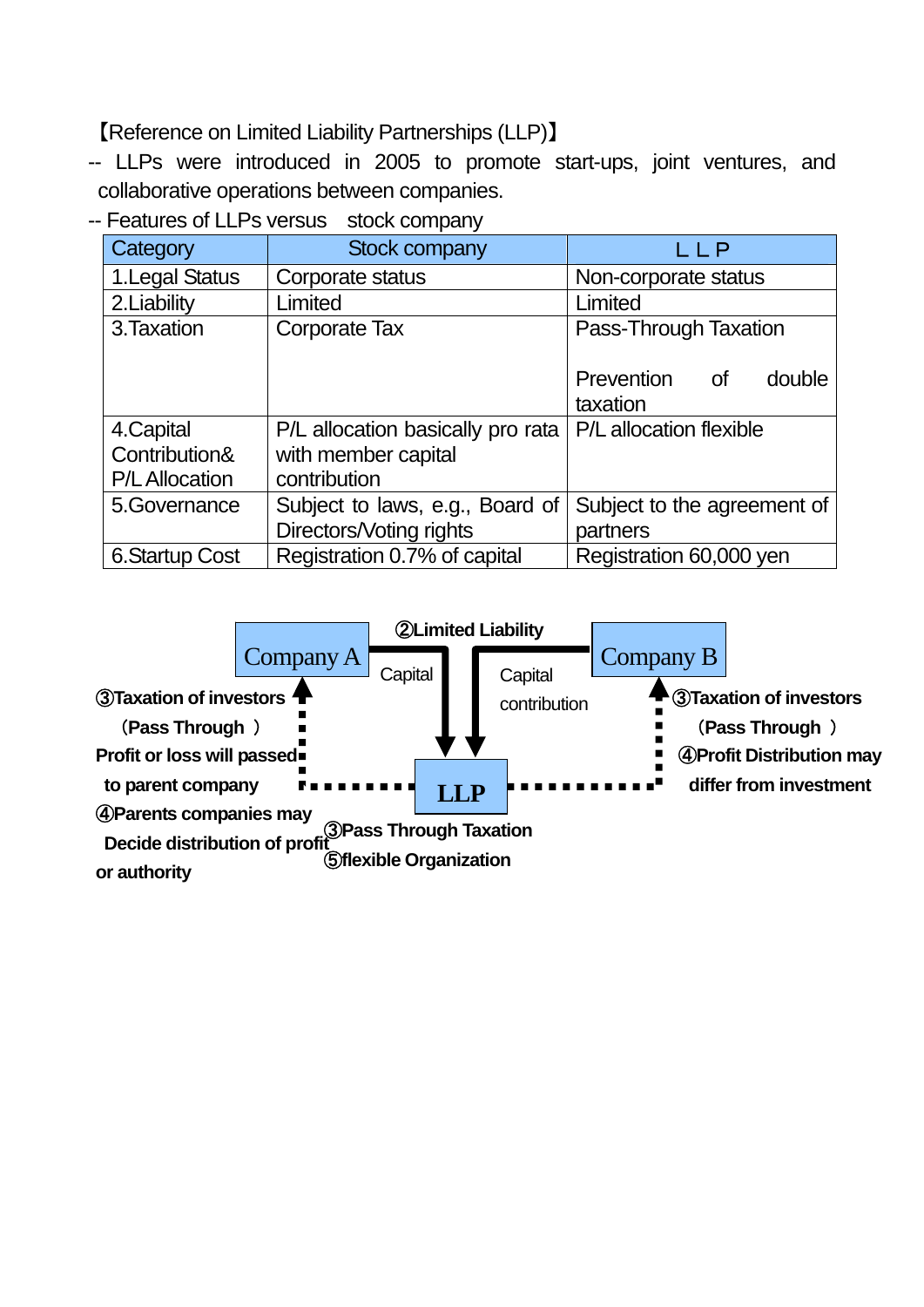【Reference on Limited Liability Partnerships (LLP)】

-- LLPs were introduced in 2005 to promote start-ups, joint ventures, and collaborative operations between companies.

-- Features of LLPs versus stock company

| Category              | <b>Stock company</b>              | LLP                                               |
|-----------------------|-----------------------------------|---------------------------------------------------|
| 1. Legal Status       | Corporate status                  | Non-corporate status                              |
| 2. Liability          | Limited                           | Limited                                           |
| 3. Taxation           | Corporate Tax                     | Pass-Through Taxation                             |
|                       |                                   | Prevention<br>double<br><sub>of</sub><br>taxation |
| 4. Capital            | P/L allocation basically pro rata | P/L allocation flexible                           |
| Contribution&         | with member capital               |                                                   |
| <b>P/L Allocation</b> | contribution                      |                                                   |
| 5.Governance          | Subject to laws, e.g., Board of   | Subject to the agreement of                       |
|                       | Directors/Voting rights           | partners                                          |
| <b>6.Startup Cost</b> | Registration 0.7% of capital      | Registration 60,000 yen                           |